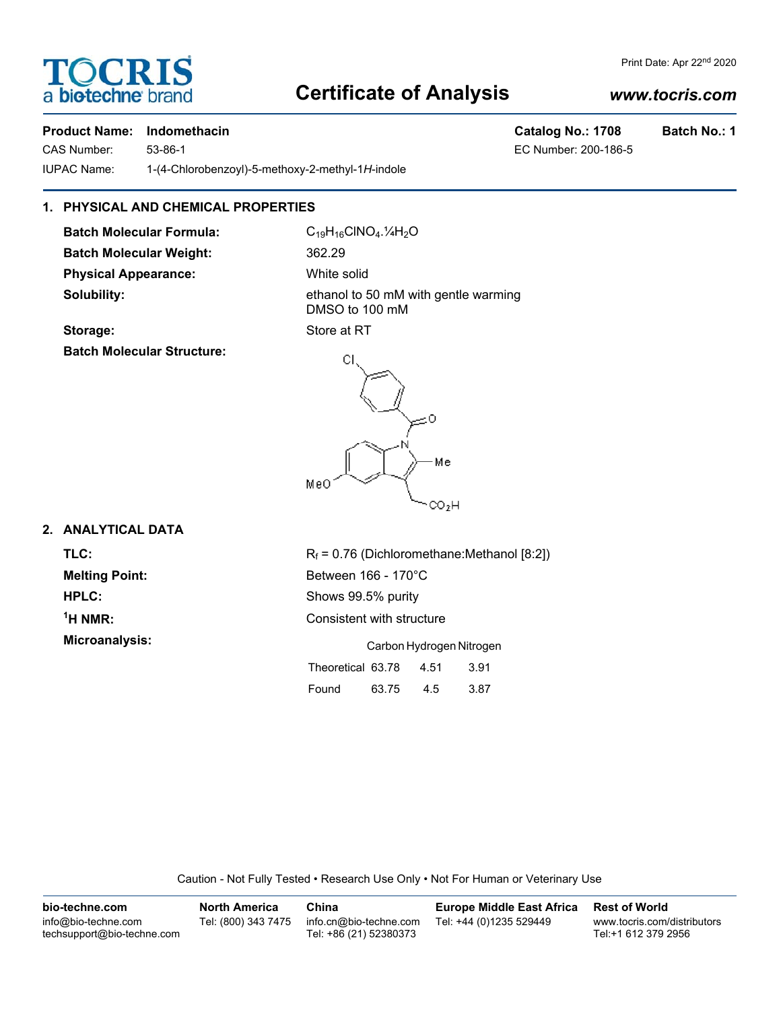## OCRI a biotechne

### **Certificate of Analysis**

#### *www.tocris.com*

Print Date: Apr 22nd 2020

#### **Product Name: Indomethacin Catalog No.: 1708 Batch No.: 1**

CAS Number: 53-86-1 EC Number: 200-186-5 IUPAC Name: 1-(4-Chlorobenzoyl)-5-methoxy-2-methyl-1*H*-indole

#### **1. PHYSICAL AND CHEMICAL PROPERTIES**

**Batch Molecular Formula:** C<sub>19</sub>H<sub>16</sub>ClNO<sub>4</sub>.<sup>1</sup>/<sub>4</sub>H<sub>2</sub>O **Batch Molecular Weight:** 362.29 **Physical Appearance:** White solid

**Solubility:** ethanol to 50 mM with gentle warming DMSO to 100 mM

## **Storage:** Store at RT

**Batch Molecular Structure:**



#### **2. ANALYTICAL DATA**

<sup>1</sup>H NMR: **Microanalysis:** 

**HPLC:** Shows 99.5% purity **Consistent with structure** 

|                   | Carbon Hydrogen Nitrogen |      |      |  |  |
|-------------------|--------------------------|------|------|--|--|
| Theoretical 63.78 |                          | 4.51 | 3.91 |  |  |
| Found             | 63.75                    | 4.5  | 3.87 |  |  |

Caution - Not Fully Tested • Research Use Only • Not For Human or Veterinary Use

| bio-techne.com                                    | <b>North America</b> | China                                            | <b>Europe Middle East Africa</b> | <b>Rest of World</b>                               |
|---------------------------------------------------|----------------------|--------------------------------------------------|----------------------------------|----------------------------------------------------|
| info@bio-techne.com<br>techsupport@bio-techne.com | Tel: (800) 343 7475  | info.cn@bio-techne.com<br>Tel: +86 (21) 52380373 | Tel: +44 (0)1235 529449          | www.tocris.com/distributors<br>Tel:+1 612 379 2956 |